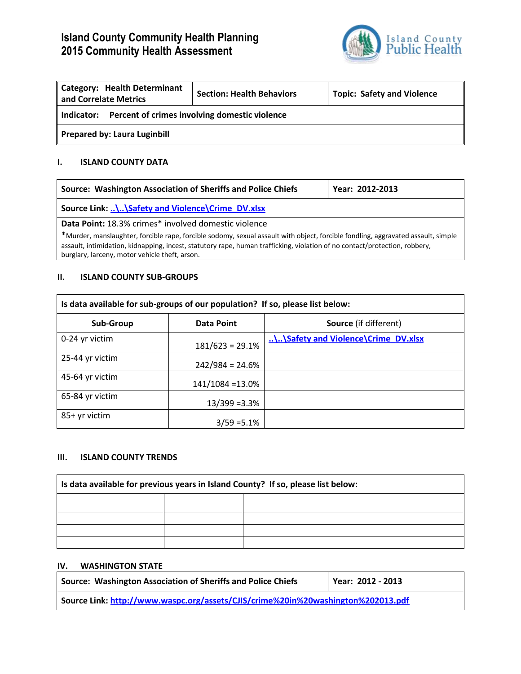# **Island County Community Health Planning 2015 Community Health Assessment**



| <b>Category: Health Determinant</b><br>and Correlate Metrics | <b>Section: Health Behaviors</b> | <b>Topic: Safety and Violence</b> |  |
|--------------------------------------------------------------|----------------------------------|-----------------------------------|--|
| Percent of crimes involving domestic violence<br>Indicator:  |                                  |                                   |  |
| <b>Prepared by: Laura Luginbill</b>                          |                                  |                                   |  |

## **I. ISLAND COUNTY DATA**

| Source: Washington Association of Sheriffs and Police Chiefs                                                                                                                                                                                                                                                                                                             | Year: 2012-2013 |  |
|--------------------------------------------------------------------------------------------------------------------------------------------------------------------------------------------------------------------------------------------------------------------------------------------------------------------------------------------------------------------------|-----------------|--|
| Source Link: \\Safety and Violence\Crime DV.xlsx                                                                                                                                                                                                                                                                                                                         |                 |  |
| Data Point: 18.3% crimes* involved domestic violence<br>*Murder, manslaughter, forcible rape, forcible sodomy, sexual assault with object, forcible fondling, aggravated assault, simple<br>assault, intimidation, kidnapping, incest, statutory rape, human trafficking, violation of no contact/protection, robbery,<br>burglary, larceny, motor vehicle theft, arson. |                 |  |

#### **II. ISLAND COUNTY SUB-GROUPS**

| Is data available for sub-groups of our population? If so, please list below: |                   |                                     |  |
|-------------------------------------------------------------------------------|-------------------|-------------------------------------|--|
| Sub-Group                                                                     | Data Point        | <b>Source</b> (if different)        |  |
| 0-24 yr victim                                                                | $181/623 = 29.1%$ | \\Safety and Violence\Crime_DV.xlsx |  |
| 25-44 yr victim                                                               | $242/984 = 24.6%$ |                                     |  |
| 45-64 yr victim                                                               | 141/1084 = 13.0%  |                                     |  |
| 65-84 yr victim                                                               | $13/399 = 3.3%$   |                                     |  |
| 85+ yr victim                                                                 | $3/59 = 5.1\%$    |                                     |  |

#### **III. ISLAND COUNTY TRENDS**

| Is data available for previous years in Island County? If so, please list below: |  |  |  |
|----------------------------------------------------------------------------------|--|--|--|
|                                                                                  |  |  |  |
|                                                                                  |  |  |  |
|                                                                                  |  |  |  |
|                                                                                  |  |  |  |

#### **IV. WASHINGTON STATE**

| Source: Washington Association of Sheriffs and Police Chiefs                     | Year: 2012 - 2013 |
|----------------------------------------------------------------------------------|-------------------|
| Source Link: http://www.waspc.org/assets/CJIS/crime%20in%20washington%202013.pdf |                   |